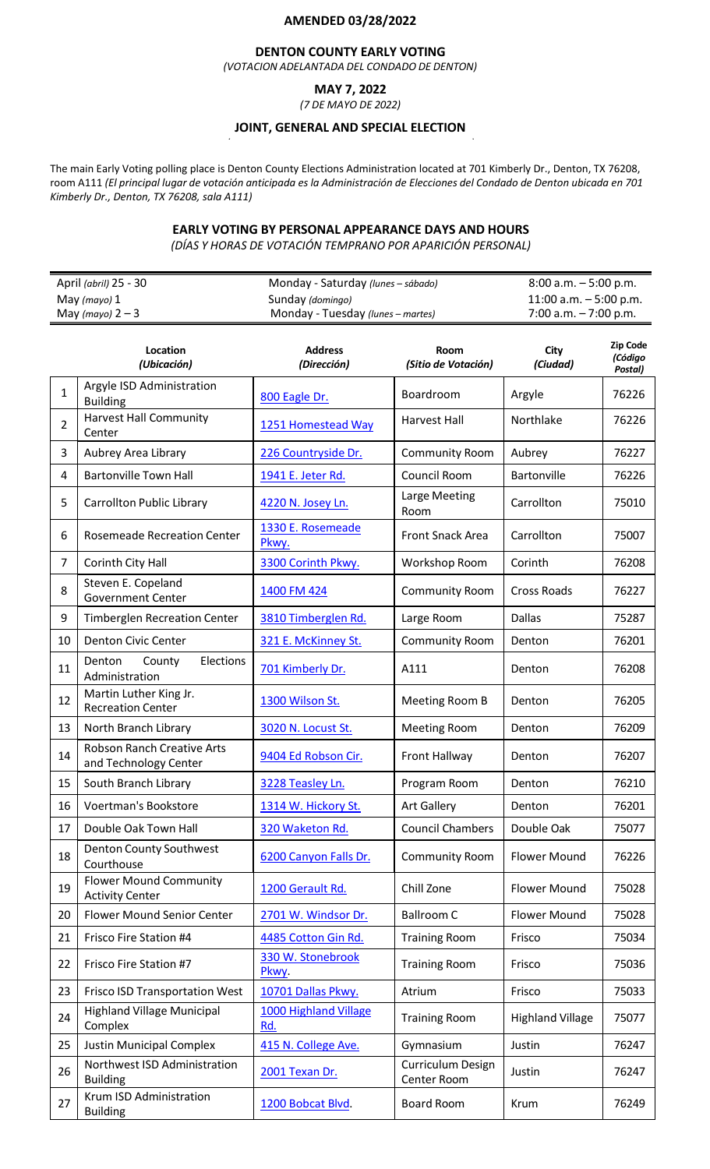# **AMENDED 03/28/2022**

### **DENTON COUNTY EARLY VOTING**

*(VOTACION ADELANTADA DEL CONDADO DE DENTON)*

# **MAY 7, 2022**

*(7 DE MAYO DE 2022)*

# **JOINT, GENERAL AND SPECIAL ELECTION**

The main Early Voting polling place is Denton County Elections Administration located at 701 Kimberly Dr., Denton, TX 76208, room A111 (El principal lugar de votación anticipada es la Administración de Elecciones del Condado de Denton ubicada en 701 *Kimberly Dr., Denton, TX 76208, sala A111)*

#### **EARLY VOTING BY PERSONAL APPEARANCE DAYS AND HOURS**

*(DÍAS Y HORAS DE VOTACIÓN TEMPRANO POR APARICIÓN PERSONAL)*

| April (abril) 25 - 30 | Monday - Saturday (lunes – sábado) | $8:00$ a.m. $-5:00$ p.m. |
|-----------------------|------------------------------------|--------------------------|
| May (mayo) 1          | Sunday (domingo)                   | 11:00 a.m. $-5:00$ p.m.  |
| May (mayo) $2-3$      | Monday - Tuesday (lunes – martes)  | $7:00$ a.m. $-7:00$ p.m. |

|                | Location<br>(Ubicación)                                    | <b>Address</b><br>(Dirección) | <b>Room</b><br>(Sitio de Votación) | City<br>(Ciudad)        | Zip Code<br>(Código<br>Postal) |
|----------------|------------------------------------------------------------|-------------------------------|------------------------------------|-------------------------|--------------------------------|
| $\mathbf{1}$   | Argyle ISD Administration<br><b>Building</b>               | 800 Eagle Dr.                 | Boardroom                          | Argyle                  | 76226                          |
| $\overline{2}$ | <b>Harvest Hall Community</b><br>Center                    | 1251 Homestead Way            | Harvest Hall                       | Northlake               | 76226                          |
| 3              | Aubrey Area Library                                        | 226 Countryside Dr.           | <b>Community Room</b>              | Aubrey                  | 76227                          |
| 4              | <b>Bartonville Town Hall</b>                               | 1941 E. Jeter Rd.             | Council Room                       | Bartonville             | 76226                          |
| 5              | Carrollton Public Library                                  | 4220 N. Josey Ln.             | Large Meeting<br>Room              | Carrollton              | 75010                          |
| 6              | <b>Rosemeade Recreation Center</b>                         | 1330 E. Rosemeade<br>Pkwy.    | Front Snack Area                   | Carrollton              | 75007                          |
| $\overline{7}$ | Corinth City Hall                                          | 3300 Corinth Pkwy.            | Workshop Room                      | Corinth                 | 76208                          |
| 8              | Steven E. Copeland<br><b>Government Center</b>             | 1400 FM 424                   | <b>Community Room</b>              | <b>Cross Roads</b>      | 76227                          |
| 9              | <b>Timberglen Recreation Center</b>                        | 3810 Timberglen Rd.           | Large Room                         | <b>Dallas</b>           | 75287                          |
| 10             | <b>Denton Civic Center</b>                                 | 321 E. McKinney St.           | <b>Community Room</b>              | Denton                  | 76201                          |
| 11             | Denton<br>Elections<br>County<br>Administration            | 701 Kimberly Dr.              | A111                               | Denton                  | 76208                          |
| 12             | Martin Luther King Jr.<br><b>Recreation Center</b>         | 1300 Wilson St.               | Meeting Room B                     | Denton                  | 76205                          |
| 13             | North Branch Library                                       | 3020 N. Locust St.            | <b>Meeting Room</b>                | Denton                  | 76209                          |
| 14             | <b>Robson Ranch Creative Arts</b><br>and Technology Center | 9404 Ed Robson Cir.           | Front Hallway                      | Denton                  | 76207                          |
| 15             | South Branch Library                                       | 3228 Teasley Ln.              | Program Room                       | Denton                  | 76210                          |
| 16             | Voertman's Bookstore                                       | 1314 W. Hickory St.           | <b>Art Gallery</b>                 | Denton                  | 76201                          |
| 17             | Double Oak Town Hall                                       | 320 Waketon Rd.               | <b>Council Chambers</b>            | Double Oak              | 75077                          |
| 18             | Denton County Southwest<br>Courthouse                      | 6200 Canyon Falls Dr.         | <b>Community Room</b>              | Flower Mound            | 76226                          |
| 19             | <b>Flower Mound Community</b><br><b>Activity Center</b>    | 1200 Gerault Rd.              | Chill Zone                         | <b>Flower Mound</b>     | 75028                          |
| 20             | Flower Mound Senior Center                                 | 2701 W. Windsor Dr.           | <b>Ballroom C</b>                  | <b>Flower Mound</b>     | 75028                          |
| 21             | Frisco Fire Station #4                                     | 4485 Cotton Gin Rd.           | <b>Training Room</b>               | Frisco                  | 75034                          |
| 22             | Frisco Fire Station #7                                     | 330 W. Stonebrook<br>Pkwy.    | <b>Training Room</b>               | Frisco                  | 75036                          |
| 23             | <b>Frisco ISD Transportation West</b>                      | 10701 Dallas Pkwy.            | Atrium                             | Frisco                  | 75033                          |
| 24             | <b>Highland Village Municipal</b><br>Complex               | 1000 Highland Village<br>Rd.  | <b>Training Room</b>               | <b>Highland Village</b> | 75077                          |
| 25             | <b>Justin Municipal Complex</b>                            | 415 N. College Ave.           | Gymnasium                          | Justin                  | 76247                          |
| 26             | Northwest ISD Administration<br><b>Building</b>            | 2001 Texan Dr.                | Curriculum Design<br>Center Room   | Justin                  | 76247                          |
| 27             | Krum ISD Administration<br><b>Building</b>                 | 1200 Bobcat Blvd.             | Board Room                         | Krum                    | 76249                          |